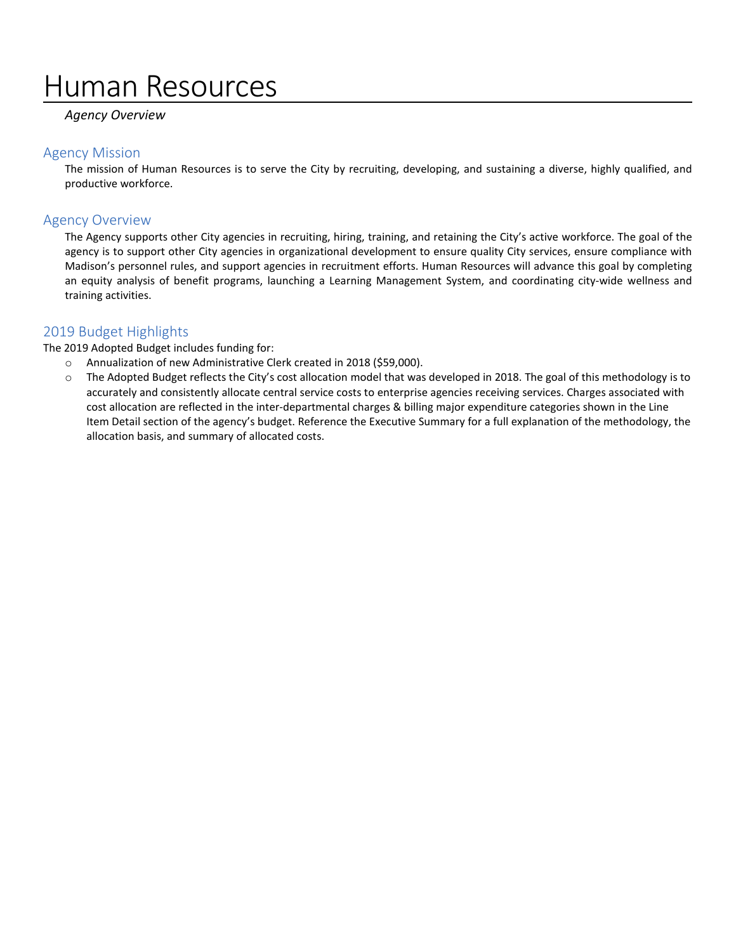# Human Resources

### *Agency Overview*

#### Agency Mission

The mission of Human Resources is to serve the City by recruiting, developing, and sustaining a diverse, highly qualified, and productive workforce.

### Agency Overview

The Agency supports other City agencies in recruiting, hiring, training, and retaining the City's active workforce. The goal of the agency is to support other City agencies in organizational development to ensure quality City services, ensure compliance with Madison's personnel rules, and support agencies in recruitment efforts. Human Resources will advance this goal by completing an equity analysis of benefit programs, launching a Learning Management System, and coordinating city-wide wellness and training activities.

## 2019 Budget Highlights

The 2019 Adopted Budget includes funding for:

- o Annualization of new Administrative Clerk created in 2018 (\$59,000).
- o The Adopted Budget reflects the City's cost allocation model that was developed in 2018. The goal of this methodology is to accurately and consistently allocate central service costs to enterprise agencies receiving services. Charges associated with cost allocation are reflected in the inter-departmental charges & billing major expenditure categories shown in the Line Item Detail section of the agency's budget. Reference the Executive Summary for a full explanation of the methodology, the allocation basis, and summary of allocated costs.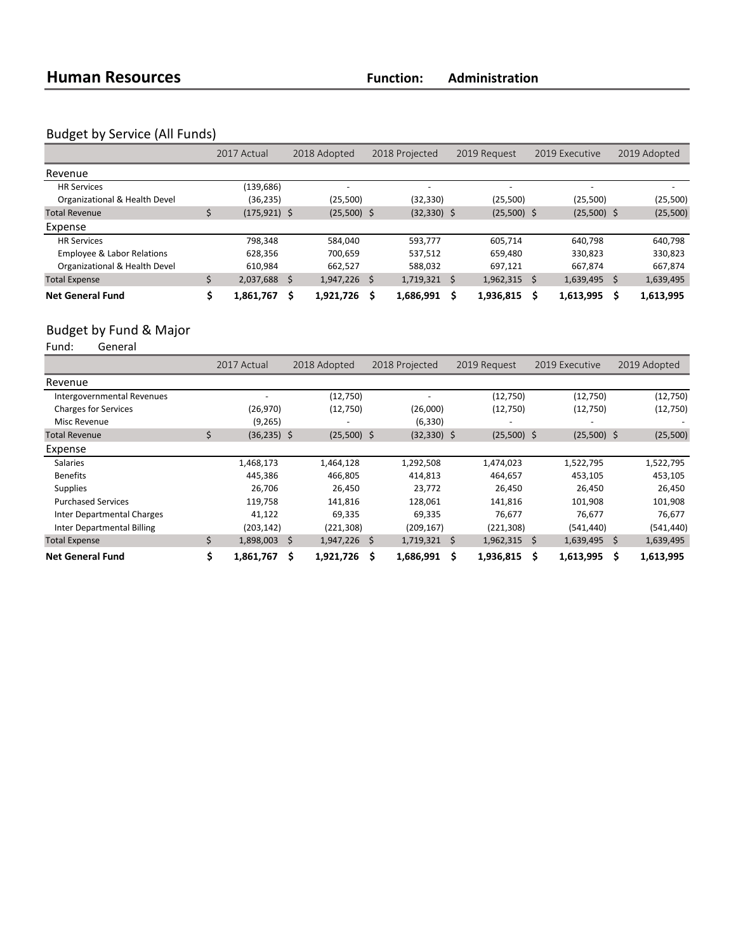# Budget by Service (All Funds)

|                               | 2017 Actual     |      | 2018 Adopted   |   | 2018 Projected           |   | 2019 Request   |  | 2019 Executive |    | 2019 Adopted |
|-------------------------------|-----------------|------|----------------|---|--------------------------|---|----------------|--|----------------|----|--------------|
| Revenue                       |                 |      |                |   |                          |   |                |  |                |    |              |
| <b>HR Services</b>            | (139,686)       |      |                |   | $\overline{\phantom{a}}$ |   |                |  | -              |    |              |
| Organizational & Health Devel | (36, 235)       |      | (25,500)       |   | (32,330)                 |   | (25,500)       |  | (25,500)       |    | (25,500)     |
| <b>Total Revenue</b>          | $(175, 921)$ \$ |      | $(25,500)$ \$  |   | $(32, 330)$ \$           |   | $(25,500)$ \$  |  | $(25,500)$ \$  |    | (25,500)     |
| Expense                       |                 |      |                |   |                          |   |                |  |                |    |              |
| <b>HR Services</b>            | 798.348         |      | 584.040        |   | 593.777                  |   | 605.714        |  | 640.798        |    | 640,798      |
| Employee & Labor Relations    | 628,356         |      | 700,659        |   | 537,512                  |   | 659,480        |  | 330,823        |    | 330,823      |
| Organizational & Health Devel | 610.984         |      | 662.527        |   | 588.032                  |   | 697.121        |  | 667.874        |    | 667.874      |
| <b>Total Expense</b>          | 2,037,688       | - \$ | $1,947,226$ \$ |   | 1,719,321                | Ŝ | $1,962,315$ \$ |  | 1,639,495      | Ś  | 1,639,495    |
| <b>Net General Fund</b>       | 1,861,767       | -S   | 1,921,726      | Ŝ | 1,686,991                |   | 1,936,815      |  | 1,613,995      | Ś. | 1,613,995    |

# Budget by Fund & Major<br>Fund: General

- ,<br>General

|                             |    | 2017 Actual    |   | 2018 Adopted   |     | 2018 Projected |     | 2019 Request             |   | 2019 Executive | 2019 Adopted |            |
|-----------------------------|----|----------------|---|----------------|-----|----------------|-----|--------------------------|---|----------------|--------------|------------|
| Revenue                     |    |                |   |                |     |                |     |                          |   |                |              |            |
| Intergovernmental Revenues  |    |                |   | (12,750)       |     |                |     | (12,750)                 |   | (12,750)       |              | (12,750)   |
| <b>Charges for Services</b> |    | (26, 970)      |   | (12,750)       |     | (26,000)       |     | (12,750)                 |   | (12,750)       |              | (12,750)   |
| Misc Revenue                |    | (9,265)        |   |                |     | (6, 330)       |     | $\overline{\phantom{a}}$ |   |                |              |            |
| <b>Total Revenue</b>        | Ś. | $(36, 235)$ \$ |   | $(25,500)$ \$  |     | $(32, 330)$ \$ |     | $(25,500)$ \$            |   | $(25,500)$ \$  |              | (25,500)   |
| Expense                     |    |                |   |                |     |                |     |                          |   |                |              |            |
| <b>Salaries</b>             |    | 1,468,173      |   | 1,464,128      |     | 1,292,508      |     | 1,474,023                |   | 1,522,795      |              | 1,522,795  |
| <b>Benefits</b>             |    | 445,386        |   | 466,805        |     | 414,813        |     | 464,657                  |   | 453,105        |              | 453,105    |
| <b>Supplies</b>             |    | 26,706         |   | 26,450         |     | 23,772         |     | 26,450                   |   | 26,450         |              | 26,450     |
| <b>Purchased Services</b>   |    | 119,758        |   | 141,816        |     | 128,061        |     | 141,816                  |   | 101,908        |              | 101,908    |
| Inter Departmental Charges  |    | 41,122         |   | 69,335         |     | 69,335         |     | 76,677                   |   | 76,677         |              | 76,677     |
| Inter Departmental Billing  |    | (203, 142)     |   | (221, 308)     |     | (209, 167)     |     | (221, 308)               |   | (541, 440)     |              | (541, 440) |
| <b>Total Expense</b>        | Ś. | 1,898,003 \$   |   | $1,947,226$ \$ |     | 1,719,321      | - Ś | $1,962,315$ \$           |   | 1,639,495      | -Ŝ           | 1,639,495  |
| <b>Net General Fund</b>     |    | 1,861,767      | Ŝ | 1,921,726      | \$. | 1,686,991      | Ŝ   | 1,936,815                | S | 1,613,995      | \$           | 1,613,995  |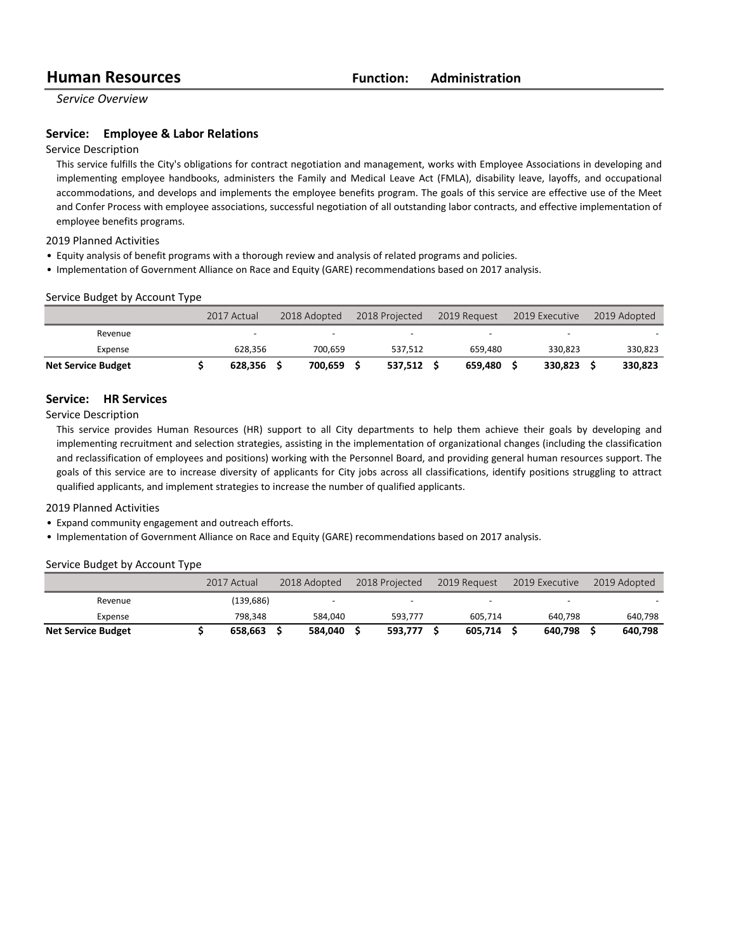*Service Overview*

#### **Service:** Employee & Labor Relations

#### Service Description

This service fulfills the City's obligations for contract negotiation and management, works with Employee Associations in developing and implementing employee handbooks, administers the Family and Medical Leave Act (FMLA), disability leave, layoffs, and occupational accommodations, and develops and implements the employee benefits program. The goals of this service are effective use of the Meet and Confer Process with employee associations, successful negotiation of all outstanding labor contracts, and effective implementation of employee benefits programs.

2019 Planned Activities

- Equity analysis of benefit programs with a thorough review and analysis of related programs and policies.
- Implementation of Government Alliance on Race and Equity (GARE) recommendations based on 2017 analysis.

#### Service Budget by Account Type

|                           | 2017 Actual              | 2018 Adopted<br>2018 Projected<br>2019 Request |         | 2019 Executive           | 2019 Adopted             |         |  |         |
|---------------------------|--------------------------|------------------------------------------------|---------|--------------------------|--------------------------|---------|--|---------|
| Revenue                   | $\overline{\phantom{0}}$ |                                                |         | $\overline{\phantom{0}}$ | $\overline{\phantom{0}}$ |         |  |         |
| Expense                   | 628.356                  |                                                | 700.659 | 537.512                  | 659.480                  | 330.823 |  | 330,823 |
| <b>Net Service Budget</b> | 628.356                  |                                                | 700.659 | 537.512                  | 659.480                  | 330.823 |  | 330,823 |

#### **Service: HR Services**

Service Description

This service provides Human Resources (HR) support to all City departments to help them achieve their goals by developing and implementing recruitment and selection strategies, assisting in the implementation of organizational changes (including the classification and reclassification of employees and positions) working with the Personnel Board, and providing general human resources support. The goals of this service are to increase diversity of applicants for City jobs across all classifications, identify positions struggling to attract qualified applicants, and implement strategies to increase the number of qualified applicants.

#### 2019 Planned Activities

- Expand community engagement and outreach efforts.
- Implementation of Government Alliance on Race and Equity (GARE) recommendations based on 2017 analysis.

#### Service Budget by Account Type

|                           | 2017 Actual | 2018 Adopted |         | 2018 Projected           |  |         | 2019 Executive |         | 2019 Request |  | 2019 Adopted |
|---------------------------|-------------|--------------|---------|--------------------------|--|---------|----------------|---------|--------------|--|--------------|
| Revenue                   | (139, 686)  |              |         | $\overline{\phantom{0}}$ |  |         |                |         |              |  |              |
| Expense                   | 798.348     |              | 584.040 | 593.777                  |  | 605.714 |                | 640.798 | 640,798      |  |              |
| <b>Net Service Budget</b> | 658.663     |              | 584.040 | 593.777                  |  | 605.714 |                | 640.798 | 640,798      |  |              |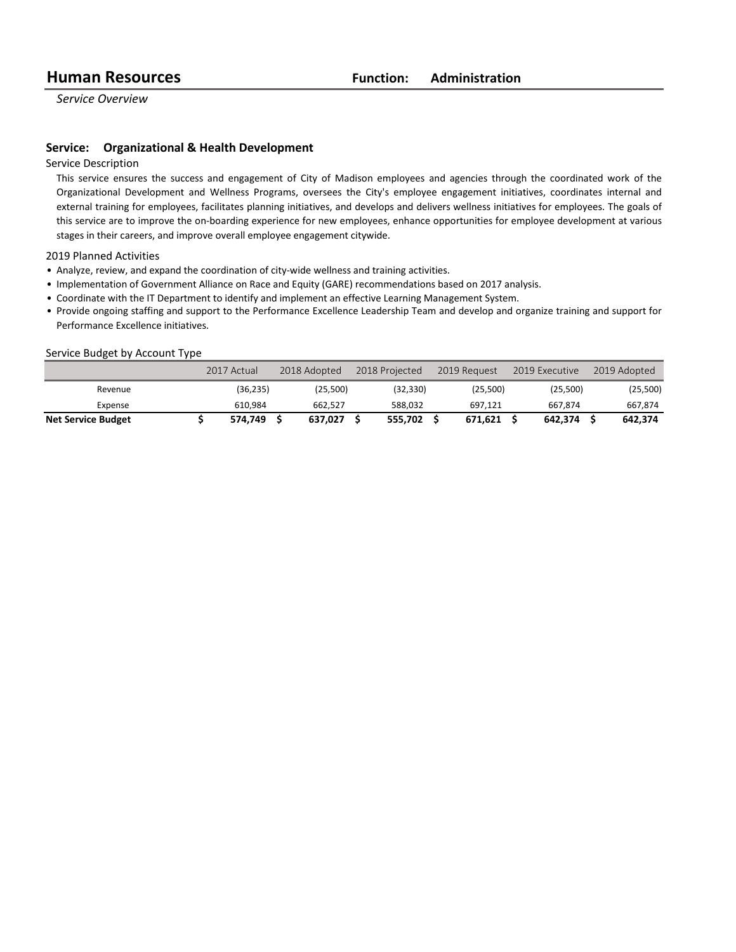*Service Overview*

#### **Service:** Organizational & Health Development

Service Description

This service ensures the success and engagement of City of Madison employees and agencies through the coordinated work of the Organizational Development and Wellness Programs, oversees the City's employee engagement initiatives, coordinates internal and external training for employees, facilitates planning initiatives, and develops and delivers wellness initiatives for employees. The goals of this service are to improve the on-boarding experience for new employees, enhance opportunities for employee development at various stages in their careers, and improve overall employee engagement citywide.

2019 Planned Activities

- Analyze, review, and expand the coordination of city-wide wellness and training activities.
- Implementation of Government Alliance on Race and Equity (GARE) recommendations based on 2017 analysis.
- Coordinate with the IT Department to identify and implement an effective Learning Management System.

• Provide ongoing staffing and support to the Performance Excellence Leadership Team and develop and organize training and support for Performance Excellence initiatives.

#### Service Budget by Account Type

|                           | 2017 Actual | 2018 Adopted | 2018 Projected | 2019 Request | 2019 Executive | 2019 Adopted |
|---------------------------|-------------|--------------|----------------|--------------|----------------|--------------|
| Revenue                   | (36,235)    | (25.500)     | (32,330)       | (25.500)     | (25,500)       | (25,500)     |
| Expense                   | 610.984     | 662.527      | 588.032        | 697.121      | 667.874        | 667.874      |
| <b>Net Service Budget</b> | 574.749     | 637.027      | 555.702        | 671.621      | 642.374        | 642.374      |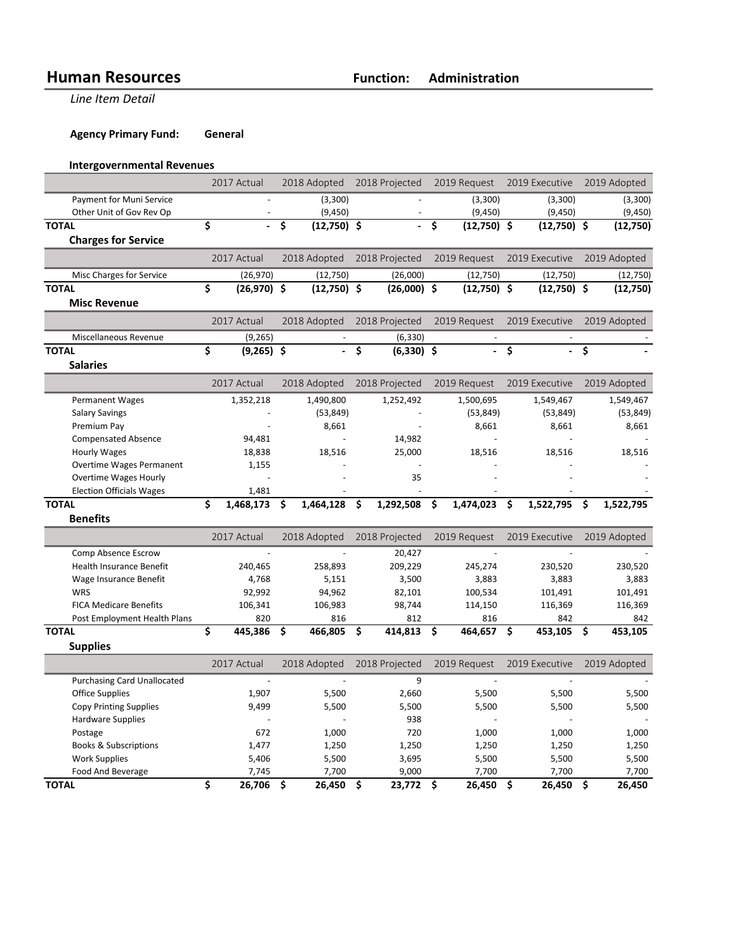**Line Item Detail** 

**Agency Primary Fund: General** 

## **Intergovernmental Revenues**

|                                    | 2017 Actual                     |               | 2018 Adopted |               | 2018 Projected                  |                | 2019 Request                    |               | 2019 Executive                  |                | 2019 Adopted |              |
|------------------------------------|---------------------------------|---------------|--------------|---------------|---------------------------------|----------------|---------------------------------|---------------|---------------------------------|----------------|--------------|--------------|
| Payment for Muni Service           |                                 |               |              | (3,300)       |                                 |                |                                 | (3,300)       |                                 | (3,300)        |              | (3,300)      |
| Other Unit of Gov Rev Op           |                                 |               |              | (9, 450)      |                                 |                |                                 | (9, 450)      |                                 | (9, 450)       |              | (9,450)      |
| <b>TOTAL</b>                       | \$                              |               | \$           | $(12,750)$ \$ |                                 |                | $\overline{\boldsymbol{\zeta}}$ | $(12,750)$ \$ |                                 | $(12,750)$ \$  |              | (12,750)     |
| <b>Charges for Service</b>         |                                 |               |              |               |                                 |                |                                 |               |                                 |                |              |              |
|                                    |                                 | 2017 Actual   |              | 2018 Adopted  |                                 | 2018 Projected |                                 | 2019 Request  |                                 | 2019 Executive |              | 2019 Adopted |
| Misc Charges for Service           |                                 | (26, 970)     |              | (12,750)      |                                 | (26,000)       |                                 | (12,750)      |                                 | (12,750)       |              | (12,750)     |
| <b>TOTAL</b>                       | \$                              | $(26,970)$ \$ |              | $(12,750)$ \$ |                                 | $(26,000)$ \$  |                                 | $(12,750)$ \$ |                                 | $(12,750)$ \$  |              | (12,750)     |
| <b>Misc Revenue</b>                |                                 |               |              |               |                                 |                |                                 |               |                                 |                |              |              |
|                                    |                                 | 2017 Actual   |              | 2018 Adopted  |                                 | 2018 Projected |                                 | 2019 Request  |                                 | 2019 Executive |              | 2019 Adopted |
|                                    |                                 |               |              |               |                                 |                |                                 |               |                                 |                |              |              |
| Miscellaneous Revenue              |                                 | (9, 265)      |              |               |                                 | (6, 330)       |                                 |               |                                 |                |              |              |
| <b>TOTAL</b>                       | \$                              | $(9,265)$ \$  |              |               | $\overline{\boldsymbol{\zeta}}$ | $(6,330)$ \$   |                                 |               | $\overline{\boldsymbol{\zeta}}$ |                | Ŝ.           |              |
| <b>Salaries</b>                    |                                 |               |              |               |                                 |                |                                 |               |                                 |                |              |              |
|                                    |                                 | 2017 Actual   |              | 2018 Adopted  |                                 | 2018 Projected |                                 | 2019 Request  |                                 | 2019 Executive |              | 2019 Adopted |
| <b>Permanent Wages</b>             |                                 | 1,352,218     |              | 1,490,800     |                                 | 1,252,492      |                                 | 1,500,695     |                                 | 1,549,467      |              | 1,549,467    |
| <b>Salary Savings</b>              |                                 |               |              | (53, 849)     |                                 |                |                                 | (53, 849)     |                                 | (53, 849)      |              | (53, 849)    |
| Premium Pay                        |                                 |               |              | 8,661         |                                 |                |                                 | 8,661         |                                 | 8,661          |              | 8,661        |
| <b>Compensated Absence</b>         |                                 | 94,481        |              |               |                                 | 14,982         |                                 |               |                                 |                |              |              |
| <b>Hourly Wages</b>                |                                 | 18,838        |              | 18,516        |                                 | 25,000         |                                 | 18,516        |                                 | 18,516         |              | 18,516       |
| <b>Overtime Wages Permanent</b>    |                                 | 1,155         |              |               |                                 |                |                                 |               |                                 |                |              |              |
| Overtime Wages Hourly              |                                 |               |              |               |                                 | 35             |                                 |               |                                 |                |              |              |
| <b>Election Officials Wages</b>    |                                 | 1,481         |              |               |                                 |                |                                 |               |                                 |                |              |              |
| <b>TOTAL</b>                       | \$                              | 1,468,173     | \$           | 1,464,128     | \$                              | 1,292,508      | \$                              | 1,474,023     | \$                              | 1,522,795      | \$           | 1,522,795    |
| <b>Benefits</b>                    |                                 |               |              |               |                                 |                |                                 |               |                                 |                |              |              |
|                                    |                                 | 2017 Actual   |              | 2018 Adopted  |                                 | 2018 Projected |                                 | 2019 Request  |                                 | 2019 Executive |              | 2019 Adopted |
| Comp Absence Escrow                |                                 |               |              |               |                                 | 20,427         |                                 |               |                                 |                |              |              |
| Health Insurance Benefit           |                                 | 240,465       |              | 258,893       |                                 | 209,229        |                                 | 245,274       |                                 | 230,520        |              | 230,520      |
| Wage Insurance Benefit             |                                 | 4,768         |              | 5,151         |                                 | 3,500          |                                 | 3,883         |                                 | 3,883          |              | 3,883        |
| <b>WRS</b>                         |                                 | 92,992        |              | 94,962        |                                 | 82,101         |                                 | 100,534       |                                 | 101,491        |              | 101,491      |
| <b>FICA Medicare Benefits</b>      |                                 | 106,341       |              | 106,983       |                                 | 98,744         |                                 | 114,150       |                                 | 116,369        |              | 116,369      |
| Post Employment Health Plans       |                                 | 820           |              | 816           |                                 | 812            |                                 | 816           |                                 | 842            |              | 842          |
| <b>TOTAL</b>                       | \$                              | 445,386       | \$           | 466,805       | Ŝ.                              | 414,813        | \$.                             | 464,657       | \$                              | 453,105        | \$           | 453,105      |
| <b>Supplies</b>                    |                                 |               |              |               |                                 |                |                                 |               |                                 |                |              |              |
|                                    |                                 | 2017 Actual   |              | 2018 Adopted  |                                 | 2018 Projected |                                 | 2019 Request  |                                 | 2019 Executive |              | 2019 Adopted |
| <b>Purchasing Card Unallocated</b> |                                 |               |              |               |                                 | 9              |                                 |               |                                 |                |              |              |
| <b>Office Supplies</b>             |                                 | 1,907         |              | 5,500         |                                 | 2,660          |                                 | 5,500         |                                 | 5,500          |              | 5,500        |
| <b>Copy Printing Supplies</b>      |                                 | 9,499         |              | 5,500         |                                 | 5,500          |                                 | 5,500         |                                 | 5,500          |              | 5,500        |
| <b>Hardware Supplies</b>           |                                 |               |              |               |                                 | 938            |                                 |               |                                 |                |              |              |
| Postage                            |                                 | 672           |              | 1,000         |                                 | 720            |                                 | 1,000         |                                 | 1,000          |              | 1,000        |
| <b>Books &amp; Subscriptions</b>   |                                 | 1,477         |              | 1,250         |                                 | 1,250          |                                 | 1,250         |                                 | 1,250          |              | 1,250        |
| <b>Work Supplies</b>               |                                 | 5,406         |              | 5,500         |                                 | 3,695          |                                 | 5,500         |                                 | 5,500          |              | 5,500        |
| Food And Beverage                  |                                 | 7,745         |              | 7,700         |                                 | 9,000          | 7,700                           |               |                                 | 7,700          |              | 7,700        |
| <b>TOTAL</b>                       | $\overline{\boldsymbol{\zeta}}$ | 26,706        | \$           | 26,450        | \$                              | 23,772         | - \$                            | 26,450        | $\overline{\boldsymbol{\zeta}}$ | 26,450         | \$           | 26,450       |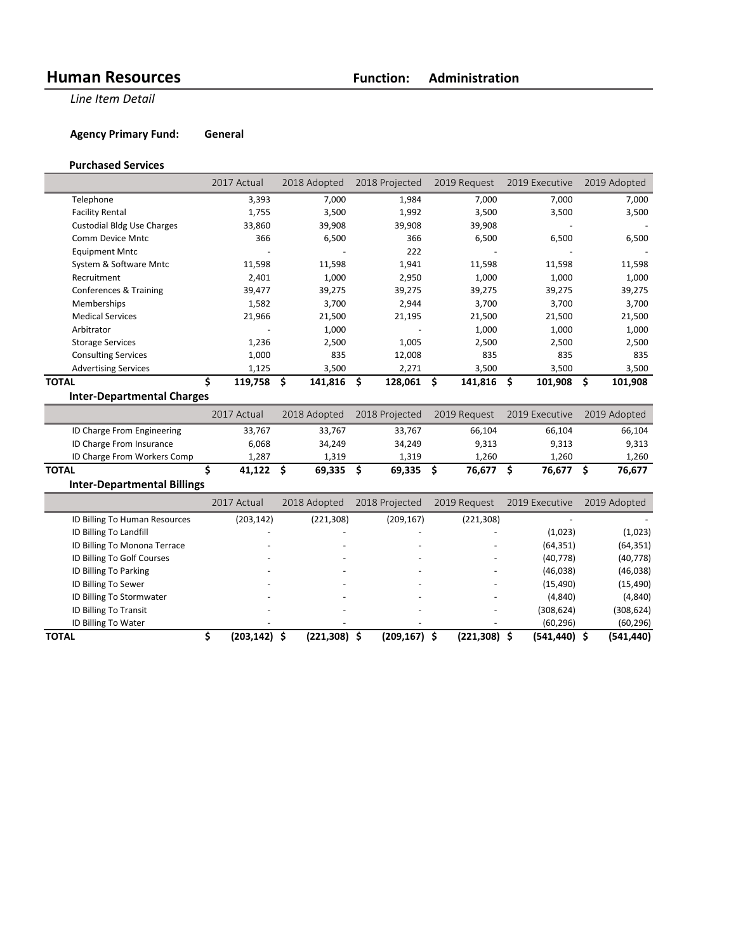**Line Item Detail** 

**Agency Primary Fund: General** 

#### **Purchased Services**

|                                   | 2017 Actual  | 2018 Adopted  | 2018 Projected | 2019 Request  | 2019 Executive | 2019 Adopted  |
|-----------------------------------|--------------|---------------|----------------|---------------|----------------|---------------|
| Telephone                         | 3,393        | 7,000         | 1,984          | 7,000         | 7,000          | 7,000         |
| <b>Facility Rental</b>            | 1,755        | 3,500         | 1,992          | 3,500         | 3,500          | 3,500         |
| <b>Custodial Bldg Use Charges</b> | 33,860       | 39,908        | 39,908         | 39,908        |                |               |
| <b>Comm Device Mntc</b>           | 366          | 6,500         | 366            | 6,500         | 6,500          | 6,500         |
| <b>Equipment Mntc</b>             |              |               | 222            |               |                |               |
| System & Software Mntc            | 11,598       | 11,598        | 1,941          | 11,598        | 11,598         | 11,598        |
| Recruitment                       | 2,401        | 1,000         | 2,950          | 1,000         | 1,000          | 1,000         |
| Conferences & Training            | 39,477       | 39,275        | 39,275         | 39,275        | 39,275         | 39,275        |
| Memberships                       | 1,582        | 3,700         | 2,944          | 3,700         | 3,700          | 3,700         |
| <b>Medical Services</b>           | 21,966       | 21,500        | 21,195         | 21,500        | 21,500         | 21,500        |
| Arbitrator                        |              | 1,000         |                | 1,000         | 1,000          | 1,000         |
| <b>Storage Services</b>           | 1,236        | 2,500         | 1,005          | 2,500         | 2,500          | 2,500         |
| <b>Consulting Services</b>        | 1,000        | 835           | 12,008         | 835           | 835            | 835           |
| <b>Advertising Services</b>       | 1,125        | 3,500         | 2,271          | 3,500         | 3,500          | 3,500         |
| <b>TOTAL</b>                      | Ś<br>119,758 | Ś.<br>141,816 | 128,061<br>Ŝ   | Ŝ.<br>141,816 | \$<br>101,908  | \$<br>101,908 |
| <b>Inter-Departmental Charges</b> |              |               |                |               |                |               |
|                                   | 2017 Actual  | 2018 Adopted  | 2018 Projected | 2019 Request  | 2019 Executive | 2019 Adopted  |
| ID Charge From Engineering        | 33,767       | 33,767        | 33,767         | 66,104        | 66,104         | 66,104        |
| ID Charge From Insurance          | 6,068        | 34,249        | 34,249         | 9,313         | 9,313          | 9,313         |

| ID Charge From Workers Comp        | 1.287  | 1.319  | 1.319  | 1.260  | ۔260   | . 260  |
|------------------------------------|--------|--------|--------|--------|--------|--------|
| <b>TOTAL</b>                       | 41.122 | 69.335 | 69.335 | 76.677 | 76.677 | 76,677 |
| <b>Inter-Departmental Billings</b> |        |        |        |        |        |        |

|                               | 2017 Actual | 2018 Adopted | 2018 Projected | 2019 Request             | 2019 Executive  | 2019 Adopted |
|-------------------------------|-------------|--------------|----------------|--------------------------|-----------------|--------------|
| ID Billing To Human Resources | (203, 142)  | (221, 308)   | (209, 167)     | (221, 308)               |                 |              |
| ID Billing To Landfill        |             |              |                |                          | (1,023)         | (1,023)      |
| ID Billing To Monona Terrace  |             |              |                |                          | (64, 351)       | (64, 351)    |
| ID Billing To Golf Courses    |             |              |                |                          | (40, 778)       | (40, 778)    |
| ID Billing To Parking         |             |              |                | $\overline{\phantom{m}}$ | (46,038)        | (46,038)     |
| ID Billing To Sewer           |             |              |                | ۰                        | (15, 490)       | (15, 490)    |
| ID Billing To Stormwater      |             |              |                |                          | (4,840)         | (4, 840)     |
| ID Billing To Transit         |             |              |                |                          | (308, 624)      | (308, 624)   |
| ID Billing To Water           |             |              |                |                          | (60, 296)       | (60, 296)    |
| <b>TOTAL</b>                  | (203.142)   | (221,308) \$ | (209,167) \$   | (221, 308)               | $(541, 440)$ \$ | (541,440)    |